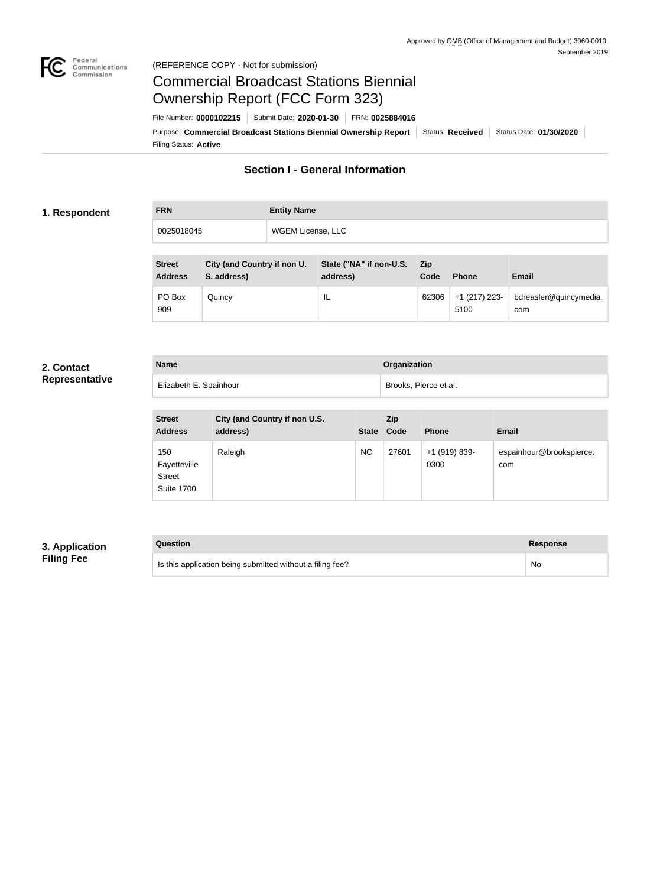

# Federal<br>Communications<br>Commission (REFERENCE COPY - Not for submission)

# Commercial Broadcast Stations Biennial Ownership Report (FCC Form 323)

Filing Status: **Active** Purpose: Commercial Broadcast Stations Biennial Ownership Report Status: Received Status Date: 01/30/2020 File Number: **0000102215** Submit Date: **2020-01-30** FRN: **0025884016**

# **Section I - General Information**

# **1. Respondent**

| <b>FRN</b> | <b>Entity Name</b> |
|------------|--------------------|
| 0025018045 | WGEM License, LLC  |
|            |                    |

| <b>Street</b><br><b>Address</b> | City (and Country if non U.<br>S. address) | State ("NA" if non-U.S.<br>address) | <b>Zip</b><br>Code | <b>Phone</b>          | <b>Email</b>                  |
|---------------------------------|--------------------------------------------|-------------------------------------|--------------------|-----------------------|-------------------------------|
| PO Box<br>909                   | Quincy                                     | IL                                  | 62306              | +1 (217) 223-<br>5100 | bdreasler@quincymedia.<br>com |

### **2. Contact Representative**

| <b>Name</b>            | <b>Organization</b>   |
|------------------------|-----------------------|
| Elizabeth E. Spainhour | Brooks, Pierce et al. |

| <b>Street</b><br><b>Address</b>                           | City (and Country if non U.S.<br>address) | <b>State</b> | Zip<br>Code | <b>Phone</b>          | <b>Email</b>                    |
|-----------------------------------------------------------|-------------------------------------------|--------------|-------------|-----------------------|---------------------------------|
| 150<br>Fayetteville<br><b>Street</b><br><b>Suite 1700</b> | Raleigh                                   | <b>NC</b>    | 27601       | +1 (919) 839-<br>0300 | espainhour@brookspierce.<br>com |

# **3. Application Filing Fee**

## **Question Response**

Is this application being submitted without a filing fee? No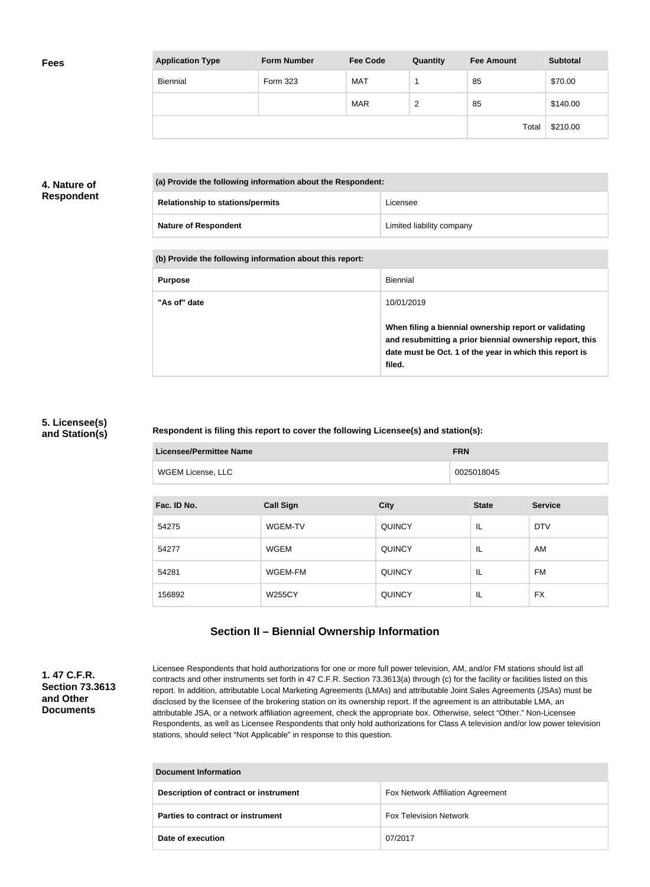| <b>Application Type</b> | <b>Form Number</b> | <b>Fee Code</b> | Quantity | <b>Fee Amount</b> | <b>Subtotal</b> |
|-------------------------|--------------------|-----------------|----------|-------------------|-----------------|
| <b>Biennial</b>         | Form 323           | <b>MAT</b>      |          | 85                | \$70.00         |
|                         |                    | <b>MAR</b>      | 2        | 85                | \$140.00        |
|                         |                    |                 |          | Total             | \$210.00        |

# **4. Nature of Respondent**

| (a) Provide the following information about the Respondent: |                           |  |
|-------------------------------------------------------------|---------------------------|--|
| <b>Relationship to stations/permits</b>                     | Licensee                  |  |
| <b>Nature of Respondent</b>                                 | Limited liability company |  |

### **(b) Provide the following information about this report:**

| <b>Purpose</b> | Biennial                                                                                                                                                                               |
|----------------|----------------------------------------------------------------------------------------------------------------------------------------------------------------------------------------|
| "As of" date   | 10/01/2019                                                                                                                                                                             |
|                | When filing a biennial ownership report or validating<br>and resubmitting a prior biennial ownership report, this<br>date must be Oct. 1 of the year in which this report is<br>filed. |

### **5. Licensee(s) and Station(s)**

## **Respondent is filing this report to cover the following Licensee(s) and station(s):**

| <b>Licensee/Permittee Name</b> |                  | <b>FRN</b>    |              |                |  |
|--------------------------------|------------------|---------------|--------------|----------------|--|
| WGEM License, LLC              |                  |               | 0025018045   |                |  |
| Fac. ID No.                    | <b>Call Sign</b> | <b>City</b>   | <b>State</b> | <b>Service</b> |  |
| 54275                          | WGEM-TV          | <b>QUINCY</b> | IL           | <b>DTV</b>     |  |

| 54275  | WGEM-TV       | <b>QUINCY</b> | IL | <b>DTV</b> |
|--------|---------------|---------------|----|------------|
| 54277  | WGEM          | <b>QUINCY</b> | IL | AM         |
| 54281  | WGEM-FM       | <b>QUINCY</b> | IL | FM         |
| 156892 | <b>W255CY</b> | <b>QUINCY</b> | IL | FX         |

# **Section II – Biennial Ownership Information**

# **1. 47 C.F.R. Section 73.3613 and Other Documents**

Licensee Respondents that hold authorizations for one or more full power television, AM, and/or FM stations should list all contracts and other instruments set forth in 47 C.F.R. Section 73.3613(a) through (c) for the facility or facilities listed on this report. In addition, attributable Local Marketing Agreements (LMAs) and attributable Joint Sales Agreements (JSAs) must be disclosed by the licensee of the brokering station on its ownership report. If the agreement is an attributable LMA, an attributable JSA, or a network affiliation agreement, check the appropriate box. Otherwise, select "Other." Non-Licensee Respondents, as well as Licensee Respondents that only hold authorizations for Class A television and/or low power television stations, should select "Not Applicable" in response to this question.

| <b>Document Information</b>           |                                   |  |  |
|---------------------------------------|-----------------------------------|--|--|
| Description of contract or instrument | Fox Network Affiliation Agreement |  |  |
| Parties to contract or instrument     | <b>Fox Television Network</b>     |  |  |
| Date of execution                     | 07/2017                           |  |  |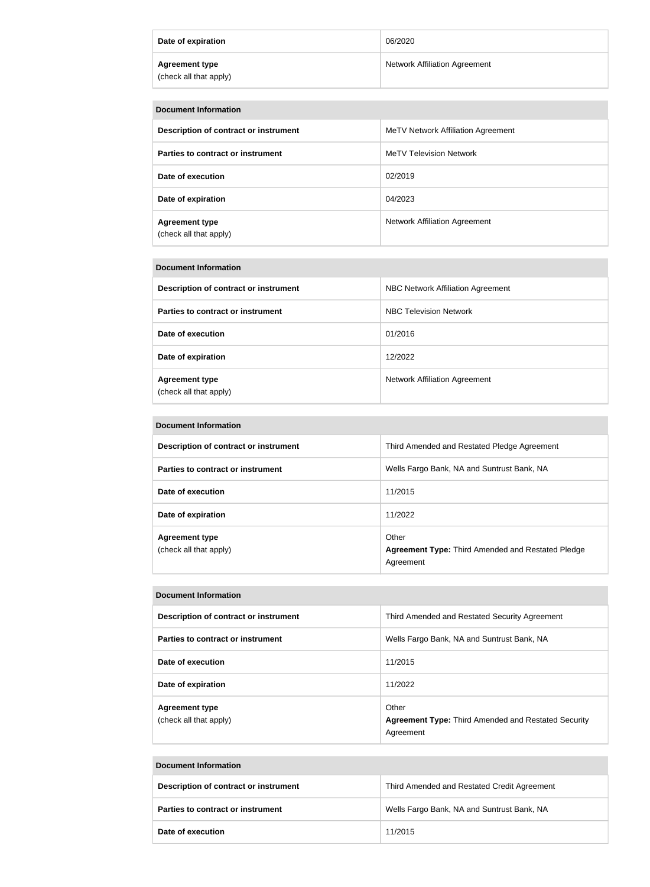| Date of expiration                              | 06/2020                              |
|-------------------------------------------------|--------------------------------------|
| <b>Agreement type</b><br>(check all that apply) | <b>Network Affiliation Agreement</b> |

| <b>Document Information</b>                     |                                      |  |
|-------------------------------------------------|--------------------------------------|--|
| Description of contract or instrument           | MeTV Network Affiliation Agreement   |  |
| Parties to contract or instrument               | <b>MeTV Television Network</b>       |  |
| Date of execution                               | 02/2019                              |  |
| Date of expiration                              | 04/2023                              |  |
| <b>Agreement type</b><br>(check all that apply) | <b>Network Affiliation Agreement</b> |  |

| <b>Document Information</b>                     |                                      |  |
|-------------------------------------------------|--------------------------------------|--|
| Description of contract or instrument           | NBC Network Affiliation Agreement    |  |
| Parties to contract or instrument               | <b>NBC Television Network</b>        |  |
| Date of execution                               | 01/2016                              |  |
| Date of expiration                              | 12/2022                              |  |
| <b>Agreement type</b><br>(check all that apply) | <b>Network Affiliation Agreement</b> |  |

| Description of contract or instrument | Third Amended and Restated Pledge Agreement                           |
|---------------------------------------|-----------------------------------------------------------------------|
| Parties to contract or instrument     | Wells Fargo Bank, NA and Suntrust Bank, NA                            |
| Date of execution                     | 11/2015                                                               |
| Date of expiration                    | 11/2022                                                               |
| <b>Agreement type</b>                 | Other                                                                 |
| (check all that apply)                | <b>Agreement Type: Third Amended and Restated Pledge</b><br>Agreement |

| Description of contract or instrument           | Third Amended and Restated Security Agreement                                    |
|-------------------------------------------------|----------------------------------------------------------------------------------|
| Parties to contract or instrument               | Wells Fargo Bank, NA and Suntrust Bank, NA                                       |
| Date of execution                               | 11/2015                                                                          |
| Date of expiration                              | 11/2022                                                                          |
| <b>Agreement type</b><br>(check all that apply) | Other<br><b>Agreement Type: Third Amended and Restated Security</b><br>Agreement |

| Document Information                  |                                             |  |
|---------------------------------------|---------------------------------------------|--|
| Description of contract or instrument | Third Amended and Restated Credit Agreement |  |
| Parties to contract or instrument     | Wells Fargo Bank, NA and Suntrust Bank, NA  |  |
| Date of execution                     | 11/2015                                     |  |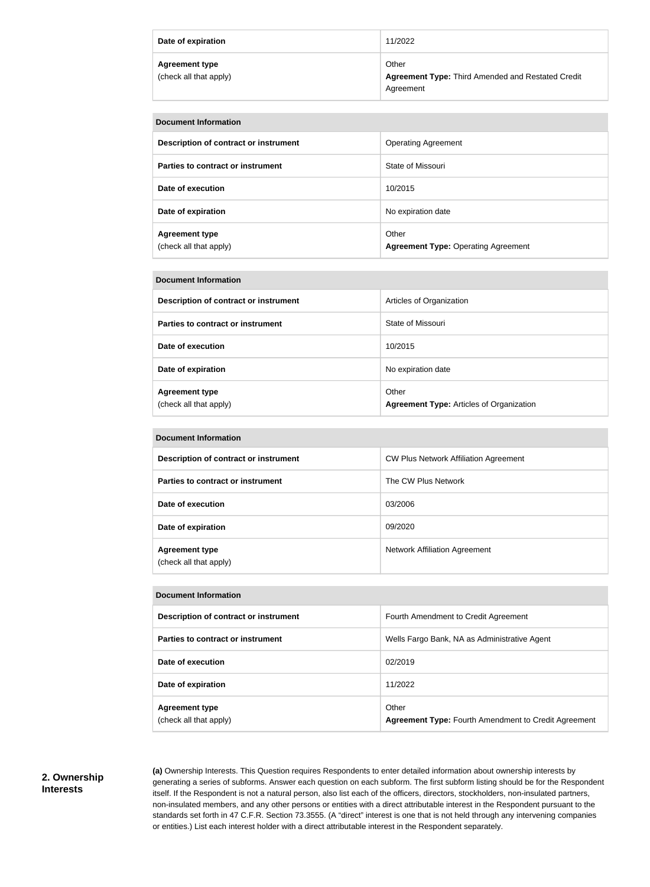| Date of expiration                              | 11/2022                                                                        |
|-------------------------------------------------|--------------------------------------------------------------------------------|
| <b>Agreement type</b><br>(check all that apply) | Other<br><b>Agreement Type: Third Amended and Restated Credit</b><br>Agreement |

| <b>Document Information</b>                     |                                                     |  |
|-------------------------------------------------|-----------------------------------------------------|--|
| Description of contract or instrument           | <b>Operating Agreement</b>                          |  |
| Parties to contract or instrument               | State of Missouri                                   |  |
| Date of execution                               | 10/2015                                             |  |
| Date of expiration                              | No expiration date                                  |  |
| <b>Agreement type</b><br>(check all that apply) | Other<br><b>Agreement Type: Operating Agreement</b> |  |

| <b>Document Information</b>                     |                                                          |  |
|-------------------------------------------------|----------------------------------------------------------|--|
| Description of contract or instrument           | Articles of Organization                                 |  |
| Parties to contract or instrument               | State of Missouri                                        |  |
| Date of execution                               | 10/2015                                                  |  |
| Date of expiration                              | No expiration date                                       |  |
| <b>Agreement type</b><br>(check all that apply) | Other<br><b>Agreement Type: Articles of Organization</b> |  |

| <b>Document Information</b>                     |                                              |  |
|-------------------------------------------------|----------------------------------------------|--|
| Description of contract or instrument           | <b>CW Plus Network Affiliation Agreement</b> |  |
| Parties to contract or instrument               | The CW Plus Network                          |  |
| Date of execution                               | 03/2006                                      |  |
| Date of expiration                              | 09/2020                                      |  |
| <b>Agreement type</b><br>(check all that apply) | <b>Network Affiliation Agreement</b>         |  |

### **Document Information**

| Description of contract or instrument           | Fourth Amendment to Credit Agreement                                 |  |
|-------------------------------------------------|----------------------------------------------------------------------|--|
| Parties to contract or instrument               | Wells Fargo Bank, NA as Administrative Agent                         |  |
| Date of execution                               | 02/2019                                                              |  |
| Date of expiration                              | 11/2022                                                              |  |
| <b>Agreement type</b><br>(check all that apply) | Other<br><b>Agreement Type: Fourth Amendment to Credit Agreement</b> |  |

## **2. Ownership Interests**

**(a)** Ownership Interests. This Question requires Respondents to enter detailed information about ownership interests by generating a series of subforms. Answer each question on each subform. The first subform listing should be for the Respondent itself. If the Respondent is not a natural person, also list each of the officers, directors, stockholders, non-insulated partners, non-insulated members, and any other persons or entities with a direct attributable interest in the Respondent pursuant to the standards set forth in 47 C.F.R. Section 73.3555. (A "direct" interest is one that is not held through any intervening companies or entities.) List each interest holder with a direct attributable interest in the Respondent separately.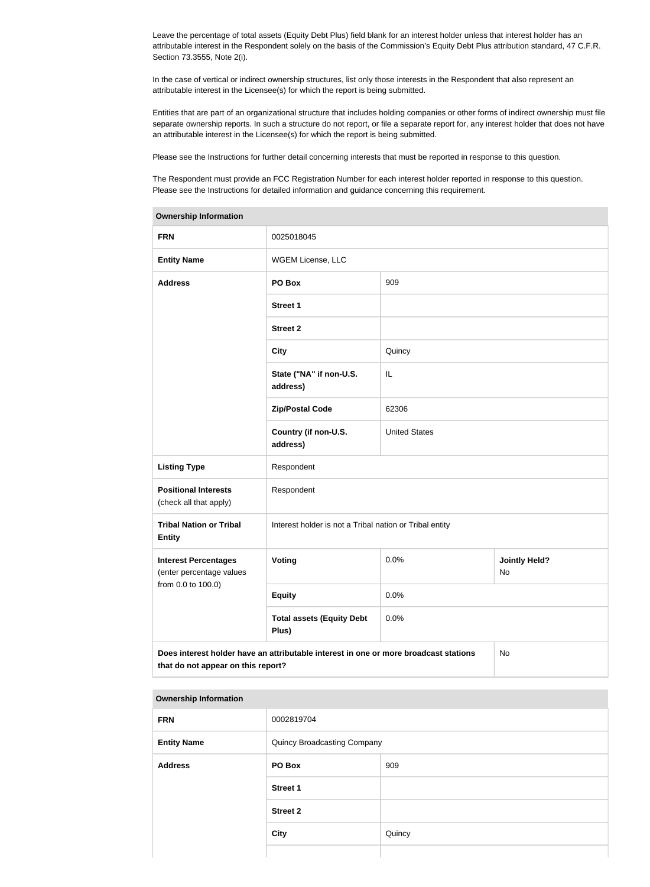Leave the percentage of total assets (Equity Debt Plus) field blank for an interest holder unless that interest holder has an attributable interest in the Respondent solely on the basis of the Commission's Equity Debt Plus attribution standard, 47 C.F.R. Section 73.3555, Note 2(i).

In the case of vertical or indirect ownership structures, list only those interests in the Respondent that also represent an attributable interest in the Licensee(s) for which the report is being submitted.

Entities that are part of an organizational structure that includes holding companies or other forms of indirect ownership must file separate ownership reports. In such a structure do not report, or file a separate report for, any interest holder that does not have an attributable interest in the Licensee(s) for which the report is being submitted.

Please see the Instructions for further detail concerning interests that must be reported in response to this question.

The Respondent must provide an FCC Registration Number for each interest holder reported in response to this question. Please see the Instructions for detailed information and guidance concerning this requirement.

| Ownership information                                                                                                            |                                                         |                      |                            |  |
|----------------------------------------------------------------------------------------------------------------------------------|---------------------------------------------------------|----------------------|----------------------------|--|
| <b>FRN</b>                                                                                                                       | 0025018045                                              |                      |                            |  |
| <b>Entity Name</b>                                                                                                               | WGEM License, LLC                                       |                      |                            |  |
| <b>Address</b>                                                                                                                   | PO Box                                                  | 909                  |                            |  |
|                                                                                                                                  | <b>Street 1</b>                                         |                      |                            |  |
|                                                                                                                                  | <b>Street 2</b>                                         |                      |                            |  |
|                                                                                                                                  | <b>City</b>                                             | Quincy               |                            |  |
|                                                                                                                                  | State ("NA" if non-U.S.<br>address)                     | IL                   |                            |  |
|                                                                                                                                  | <b>Zip/Postal Code</b>                                  | 62306                |                            |  |
|                                                                                                                                  | Country (if non-U.S.<br>address)                        | <b>United States</b> |                            |  |
| <b>Listing Type</b>                                                                                                              | Respondent                                              |                      |                            |  |
| <b>Positional Interests</b><br>(check all that apply)                                                                            | Respondent                                              |                      |                            |  |
| <b>Tribal Nation or Tribal</b><br><b>Entity</b>                                                                                  | Interest holder is not a Tribal nation or Tribal entity |                      |                            |  |
| <b>Interest Percentages</b><br>(enter percentage values                                                                          | <b>Voting</b>                                           | 0.0%                 | <b>Jointly Held?</b><br>No |  |
| from 0.0 to 100.0)                                                                                                               | <b>Equity</b>                                           | 0.0%                 |                            |  |
|                                                                                                                                  | <b>Total assets (Equity Debt</b><br>Plus)               | 0.0%                 |                            |  |
| Does interest holder have an attributable interest in one or more broadcast stations<br>No<br>that do not appear on this report? |                                                         |                      |                            |  |

### **Ownership Information**

#### **Ownership Information**

| <b>FRN</b>         | 0002819704                  |        |
|--------------------|-----------------------------|--------|
| <b>Entity Name</b> | Quincy Broadcasting Company |        |
| <b>Address</b>     | PO Box                      | 909    |
|                    | <b>Street 1</b>             |        |
|                    | <b>Street 2</b>             |        |
|                    | <b>City</b>                 | Quincy |
|                    |                             |        |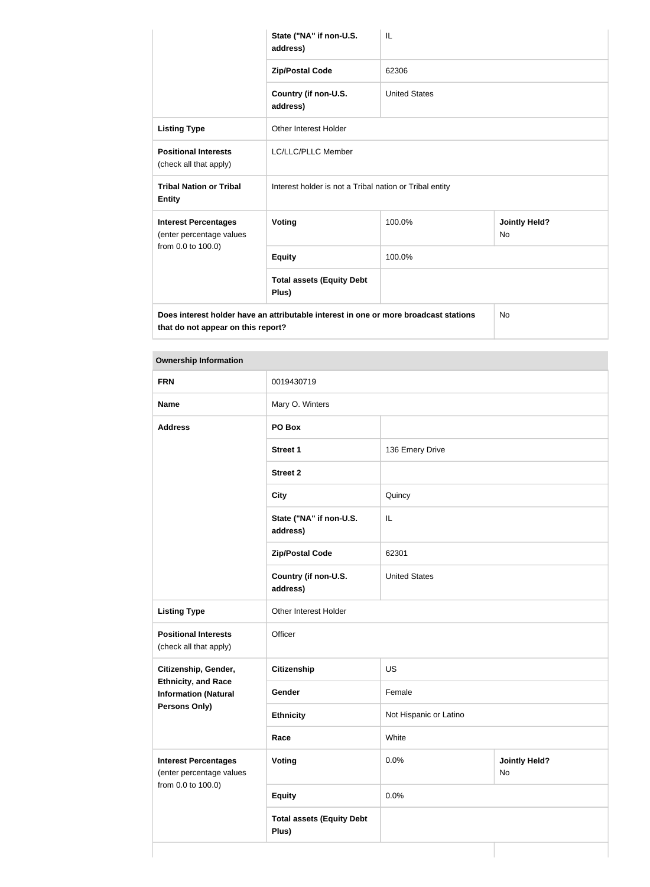|                                                         | State ("NA" if non-U.S.<br>address)                                                  | IL                   |                                   |
|---------------------------------------------------------|--------------------------------------------------------------------------------------|----------------------|-----------------------------------|
|                                                         | <b>Zip/Postal Code</b>                                                               | 62306                |                                   |
|                                                         | Country (if non-U.S.<br>address)                                                     | <b>United States</b> |                                   |
| <b>Listing Type</b>                                     | <b>Other Interest Holder</b>                                                         |                      |                                   |
| <b>Positional Interests</b><br>(check all that apply)   | <b>LC/LLC/PLLC Member</b>                                                            |                      |                                   |
| <b>Tribal Nation or Tribal</b><br><b>Entity</b>         | Interest holder is not a Tribal nation or Tribal entity                              |                      |                                   |
| <b>Interest Percentages</b><br>(enter percentage values | <b>Voting</b>                                                                        | 100.0%               | <b>Jointly Held?</b><br><b>No</b> |
| from 0.0 to 100.0)                                      | <b>Equity</b>                                                                        | 100.0%               |                                   |
|                                                         | <b>Total assets (Equity Debt</b><br>Plus)                                            |                      |                                   |
| that do not appear on this report?                      | Does interest holder have an attributable interest in one or more broadcast stations |                      | <b>No</b>                         |

| <b>Ownership Information</b>                              |                                     |                        |                            |  |
|-----------------------------------------------------------|-------------------------------------|------------------------|----------------------------|--|
| <b>FRN</b>                                                | 0019430719                          |                        |                            |  |
| <b>Name</b>                                               | Mary O. Winters                     |                        |                            |  |
| <b>Address</b>                                            | PO Box                              |                        |                            |  |
|                                                           | <b>Street 1</b>                     | 136 Emery Drive        |                            |  |
|                                                           | <b>Street 2</b>                     |                        |                            |  |
|                                                           | <b>City</b>                         | Quincy                 |                            |  |
|                                                           | State ("NA" if non-U.S.<br>address) | IL                     |                            |  |
|                                                           | <b>Zip/Postal Code</b>              | 62301                  |                            |  |
|                                                           | Country (if non-U.S.<br>address)    | <b>United States</b>   |                            |  |
| <b>Listing Type</b>                                       | Other Interest Holder               |                        |                            |  |
| <b>Positional Interests</b><br>(check all that apply)     | Officer                             |                        |                            |  |
| Citizenship, Gender,                                      | Citizenship                         | US                     |                            |  |
| <b>Ethnicity, and Race</b><br><b>Information (Natural</b> | Gender                              | Female                 |                            |  |
| <b>Persons Only)</b>                                      | <b>Ethnicity</b>                    | Not Hispanic or Latino |                            |  |
|                                                           | Race                                | White                  |                            |  |
| <b>Interest Percentages</b><br>(enter percentage values   | <b>Voting</b>                       | 0.0%                   | <b>Jointly Held?</b><br>No |  |
| from 0.0 to 100.0)                                        | <b>Equity</b>                       | 0.0%                   |                            |  |

**Total assets (Equity Debt** 

**Plus)**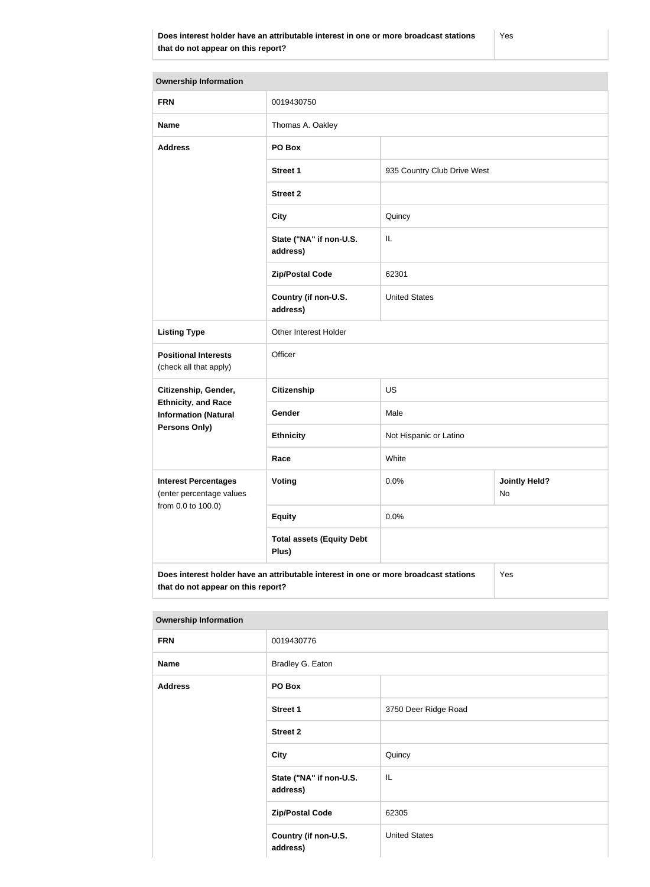| <b>Ownership Information</b>                                                                |                                           |                             |                            |
|---------------------------------------------------------------------------------------------|-------------------------------------------|-----------------------------|----------------------------|
| <b>FRN</b>                                                                                  | 0019430750                                |                             |                            |
| <b>Name</b>                                                                                 | Thomas A. Oakley                          |                             |                            |
| <b>Address</b>                                                                              | PO Box                                    |                             |                            |
|                                                                                             | <b>Street 1</b>                           | 935 Country Club Drive West |                            |
|                                                                                             | <b>Street 2</b>                           |                             |                            |
|                                                                                             | <b>City</b>                               | Quincy                      |                            |
|                                                                                             | State ("NA" if non-U.S.<br>address)       | IL                          |                            |
|                                                                                             | <b>Zip/Postal Code</b>                    | 62301                       |                            |
|                                                                                             | Country (if non-U.S.<br>address)          | <b>United States</b>        |                            |
| <b>Listing Type</b>                                                                         | Other Interest Holder                     |                             |                            |
| <b>Positional Interests</b><br>(check all that apply)                                       | Officer                                   |                             |                            |
| Citizenship, Gender,                                                                        | <b>Citizenship</b>                        | <b>US</b>                   |                            |
| <b>Ethnicity, and Race</b><br><b>Information (Natural</b>                                   | Gender                                    | Male                        |                            |
| Persons Only)                                                                               | <b>Ethnicity</b>                          | Not Hispanic or Latino      |                            |
|                                                                                             | Race                                      | White                       |                            |
| <b>Interest Percentages</b><br>(enter percentage values<br>from 0.0 to 100.0)               | <b>Voting</b>                             | 0.0%                        | <b>Jointly Held?</b><br>No |
|                                                                                             | <b>Equity</b>                             | 0.0%                        |                            |
|                                                                                             | <b>Total assets (Equity Debt</b><br>Plus) |                             |                            |
| Does interest holder have an attributable interest in one or more broadcast stations<br>Yes |                                           |                             |                            |

### **Ownership Information**

**that do not appear on this report?**

| <b>FRN</b>     | 0019430776                          |                      |
|----------------|-------------------------------------|----------------------|
| <b>Name</b>    | Bradley G. Eaton                    |                      |
| <b>Address</b> | PO Box                              |                      |
|                | Street 1                            | 3750 Deer Ridge Road |
|                | <b>Street 2</b>                     |                      |
|                | <b>City</b>                         | Quincy               |
|                | State ("NA" if non-U.S.<br>address) | IL                   |
|                | <b>Zip/Postal Code</b>              | 62305                |
|                | Country (if non-U.S.<br>address)    | <b>United States</b> |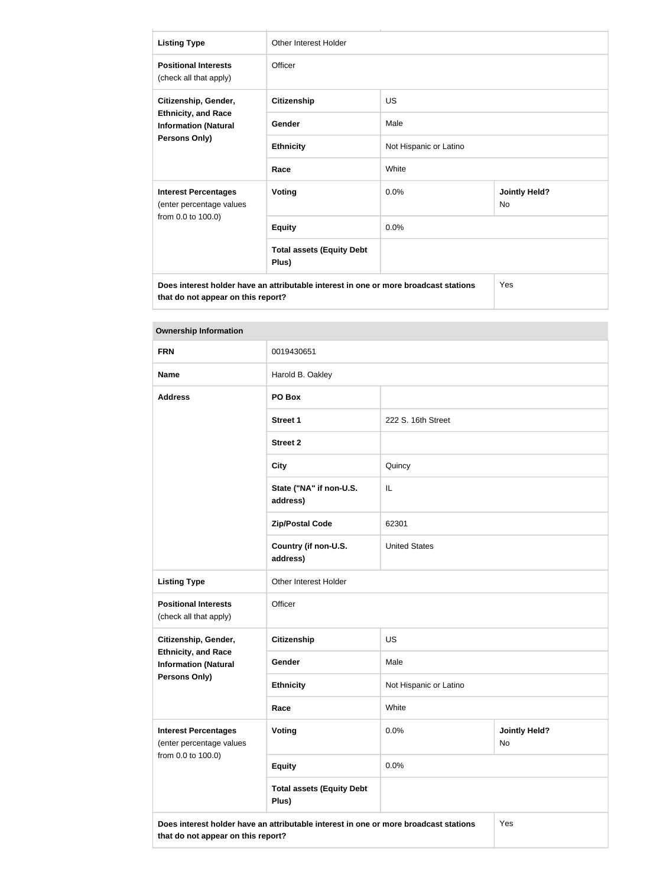| <b>Listing Type</b>                                                                                | Other Interest Holder                                                                |                        |                                   |
|----------------------------------------------------------------------------------------------------|--------------------------------------------------------------------------------------|------------------------|-----------------------------------|
| <b>Positional Interests</b><br>(check all that apply)                                              | Officer                                                                              |                        |                                   |
| Citizenship, Gender,<br><b>Ethnicity, and Race</b><br><b>Information (Natural</b><br>Persons Only) | <b>Citizenship</b>                                                                   | US                     |                                   |
|                                                                                                    | Gender                                                                               | Male                   |                                   |
|                                                                                                    | <b>Ethnicity</b>                                                                     | Not Hispanic or Latino |                                   |
|                                                                                                    | Race                                                                                 | White                  |                                   |
| <b>Interest Percentages</b><br>(enter percentage values                                            | <b>Voting</b>                                                                        | 0.0%                   | <b>Jointly Held?</b><br><b>No</b> |
| from 0.0 to 100.0)                                                                                 | <b>Equity</b>                                                                        | 0.0%                   |                                   |
|                                                                                                    | <b>Total assets (Equity Debt</b><br>Plus)                                            |                        |                                   |
| that do not appear on this report?                                                                 | Does interest holder have an attributable interest in one or more broadcast stations |                        | Yes                               |

| <b>Ownership Information</b>                              |                                                                                      |                        |                                   |
|-----------------------------------------------------------|--------------------------------------------------------------------------------------|------------------------|-----------------------------------|
| <b>FRN</b>                                                | 0019430651                                                                           |                        |                                   |
| <b>Name</b>                                               | Harold B. Oakley                                                                     |                        |                                   |
| <b>Address</b>                                            | PO Box                                                                               |                        |                                   |
|                                                           | <b>Street 1</b>                                                                      | 222 S. 16th Street     |                                   |
|                                                           | <b>Street 2</b>                                                                      |                        |                                   |
|                                                           | <b>City</b>                                                                          | Quincy                 |                                   |
|                                                           | State ("NA" if non-U.S.<br>address)                                                  | IL                     |                                   |
|                                                           | <b>Zip/Postal Code</b>                                                               | 62301                  |                                   |
|                                                           | Country (if non-U.S.<br>address)                                                     | <b>United States</b>   |                                   |
| <b>Listing Type</b>                                       | Other Interest Holder                                                                |                        |                                   |
| <b>Positional Interests</b><br>(check all that apply)     | Officer                                                                              |                        |                                   |
| Citizenship, Gender,                                      | <b>Citizenship</b>                                                                   | <b>US</b>              |                                   |
| <b>Ethnicity, and Race</b><br><b>Information (Natural</b> | Gender                                                                               | Male                   |                                   |
| Persons Only)                                             | <b>Ethnicity</b>                                                                     | Not Hispanic or Latino |                                   |
|                                                           | Race                                                                                 | White                  |                                   |
| <b>Interest Percentages</b><br>(enter percentage values   | Voting                                                                               | 0.0%                   | <b>Jointly Held?</b><br><b>No</b> |
| from 0.0 to 100.0)                                        | <b>Equity</b>                                                                        | 0.0%                   |                                   |
|                                                           | <b>Total assets (Equity Debt</b><br>Plus)                                            |                        |                                   |
| that do not appear on this report?                        | Does interest holder have an attributable interest in one or more broadcast stations |                        | Yes                               |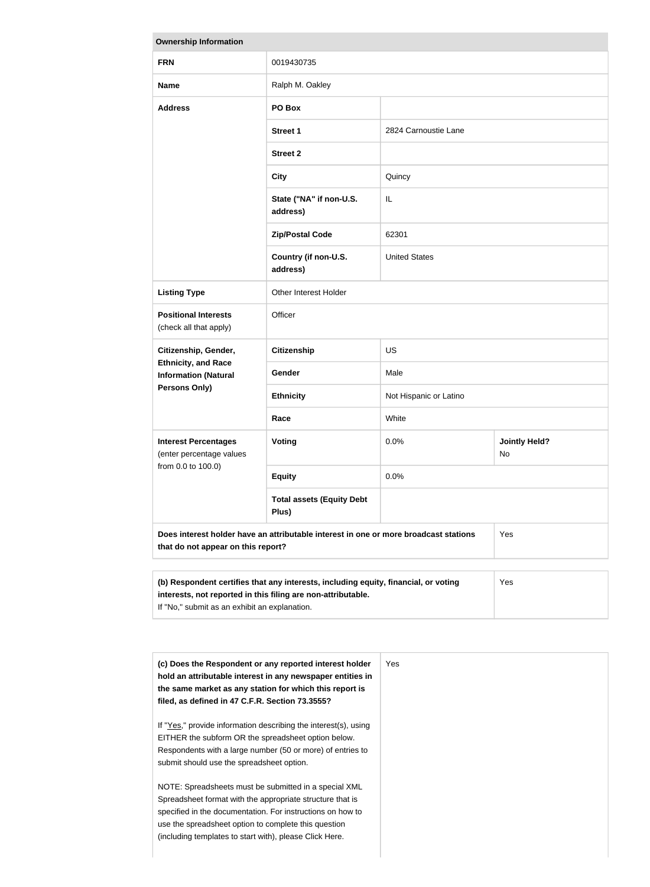| <b>Ownership Information</b>                                                                                                                               |                                           |                        |                            |  |
|------------------------------------------------------------------------------------------------------------------------------------------------------------|-------------------------------------------|------------------------|----------------------------|--|
| <b>FRN</b>                                                                                                                                                 | 0019430735                                |                        |                            |  |
| <b>Name</b>                                                                                                                                                | Ralph M. Oakley                           |                        |                            |  |
| <b>Address</b>                                                                                                                                             | PO Box                                    |                        |                            |  |
|                                                                                                                                                            | <b>Street 1</b>                           | 2824 Carnoustie Lane   |                            |  |
|                                                                                                                                                            | <b>Street 2</b>                           |                        |                            |  |
|                                                                                                                                                            | <b>City</b>                               | Quincy                 |                            |  |
|                                                                                                                                                            | State ("NA" if non-U.S.<br>address)       | IL                     |                            |  |
|                                                                                                                                                            | <b>Zip/Postal Code</b>                    | 62301                  |                            |  |
|                                                                                                                                                            | Country (if non-U.S.<br>address)          | <b>United States</b>   |                            |  |
| <b>Listing Type</b>                                                                                                                                        | Other Interest Holder                     |                        |                            |  |
| <b>Positional Interests</b><br>(check all that apply)                                                                                                      | Officer                                   |                        |                            |  |
| Citizenship, Gender,                                                                                                                                       | <b>Citizenship</b>                        | <b>US</b>              |                            |  |
| <b>Ethnicity, and Race</b><br><b>Information (Natural</b>                                                                                                  | Gender                                    | Male                   |                            |  |
| Persons Only)                                                                                                                                              | <b>Ethnicity</b>                          | Not Hispanic or Latino |                            |  |
|                                                                                                                                                            | Race                                      | White                  |                            |  |
| <b>Interest Percentages</b><br>(enter percentage values                                                                                                    | Voting                                    | 0.0%                   | <b>Jointly Held?</b><br>No |  |
| from 0.0 to 100.0)                                                                                                                                         | <b>Equity</b>                             | 0.0%                   |                            |  |
|                                                                                                                                                            | <b>Total assets (Equity Debt</b><br>Plus) |                        |                            |  |
| Does interest holder have an attributable interest in one or more broadcast stations<br>Yes<br>that do not appear on this report?                          |                                           |                        |                            |  |
|                                                                                                                                                            |                                           |                        |                            |  |
| (b) Respondent certifies that any interests, including equity, financial, or voting<br>Yes<br>interests, not reported in this filing are non-attributable. |                                           |                        |                            |  |

| (c) Does the Respondent or any reported interest holder<br>hold an attributable interest in any newspaper entities in<br>the same market as any station for which this report is<br>filed, as defined in 47 C.F.R. Section 73.3555?                                                                 | Yes |
|-----------------------------------------------------------------------------------------------------------------------------------------------------------------------------------------------------------------------------------------------------------------------------------------------------|-----|
| If "Yes," provide information describing the interest(s), using<br>EITHER the subform OR the spreadsheet option below.<br>Respondents with a large number (50 or more) of entries to<br>submit should use the spreadsheet option.                                                                   |     |
| NOTE: Spreadsheets must be submitted in a special XML<br>Spreadsheet format with the appropriate structure that is<br>specified in the documentation. For instructions on how to<br>use the spreadsheet option to complete this question<br>(including templates to start with), please Click Here. |     |

If "No," submit as an exhibit an explanation.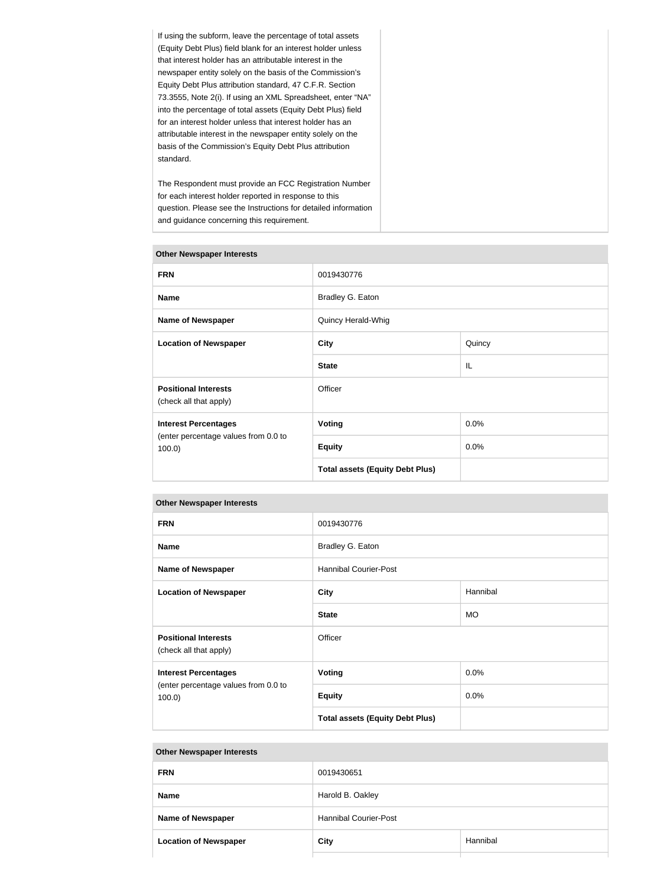If using the subform, leave the percentage of total assets (Equity Debt Plus) field blank for an interest holder unless that interest holder has an attributable interest in the newspaper entity solely on the basis of the Commission's Equity Debt Plus attribution standard, 47 C.F.R. Section 73.3555, Note 2(i). If using an XML Spreadsheet, enter "NA" into the percentage of total assets (Equity Debt Plus) field for an interest holder unless that interest holder has an attributable interest in the newspaper entity solely on the basis of the Commission's Equity Debt Plus attribution standard.

The Respondent must provide an FCC Registration Number for each interest holder reported in response to this question. Please see the Instructions for detailed information and guidance concerning this requirement.

| <b>Other Newspaper Interests</b>                      |                                        |        |  |
|-------------------------------------------------------|----------------------------------------|--------|--|
| <b>FRN</b>                                            | 0019430776                             |        |  |
| <b>Name</b>                                           | Bradley G. Eaton                       |        |  |
| <b>Name of Newspaper</b>                              | Quincy Herald-Whig                     |        |  |
| <b>Location of Newspaper</b>                          | <b>City</b>                            | Quincy |  |
|                                                       | <b>State</b>                           | IL     |  |
| <b>Positional Interests</b><br>(check all that apply) | Officer                                |        |  |
| <b>Interest Percentages</b>                           | <b>Voting</b>                          | 0.0%   |  |
| (enter percentage values from 0.0 to<br>$100.0$ )     | <b>Equity</b>                          | 0.0%   |  |
|                                                       | <b>Total assets (Equity Debt Plus)</b> |        |  |

#### **Other Newspaper Interests**

#### **Other Newspaper Interests**

| <b>FRN</b>                                            | 0019430776                             |           |  |
|-------------------------------------------------------|----------------------------------------|-----------|--|
| <b>Name</b>                                           | Bradley G. Eaton                       |           |  |
| <b>Name of Newspaper</b>                              | <b>Hannibal Courier-Post</b>           |           |  |
| <b>Location of Newspaper</b>                          | <b>City</b>                            | Hannibal  |  |
|                                                       | <b>State</b>                           | <b>MO</b> |  |
| <b>Positional Interests</b><br>(check all that apply) | Officer                                |           |  |
| <b>Interest Percentages</b>                           | <b>Voting</b>                          | 0.0%      |  |
| (enter percentage values from 0.0 to<br>$100.0$ )     | <b>Equity</b>                          | 0.0%      |  |
|                                                       | <b>Total assets (Equity Debt Plus)</b> |           |  |

#### **Other Newspaper Interests**

| <b>FRN</b>                   | 0019430651                   |          |  |
|------------------------------|------------------------------|----------|--|
| <b>Name</b>                  | Harold B. Oakley             |          |  |
| <b>Name of Newspaper</b>     | <b>Hannibal Courier-Post</b> |          |  |
| <b>Location of Newspaper</b> | City                         | Hannibal |  |
|                              |                              |          |  |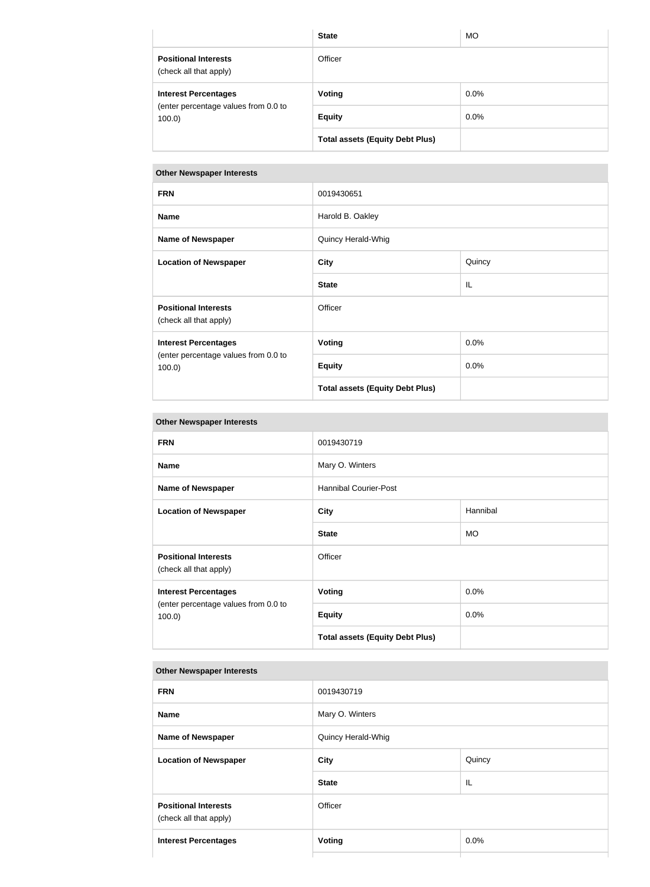|                                                       | <b>State</b>                           | <b>MO</b> |
|-------------------------------------------------------|----------------------------------------|-----------|
| <b>Positional Interests</b><br>(check all that apply) | Officer                                |           |
| <b>Interest Percentages</b>                           | Voting                                 | $0.0\%$   |
| (enter percentage values from 0.0 to<br>100.0         | <b>Equity</b>                          | $0.0\%$   |
|                                                       | <b>Total assets (Equity Debt Plus)</b> |           |

# **Other Newspaper Interests**

| <b>FRN</b><br>0019430651<br><b>Name</b><br>Harold B. Oakley<br><b>Name of Newspaper</b><br>Quincy Herald-Whig<br><b>Location of Newspaper</b><br><b>City</b><br>Quincy<br><b>State</b><br>IL<br><b>Positional Interests</b><br>Officer<br>(check all that apply)<br>0.0%<br><b>Voting</b><br><b>Interest Percentages</b><br>(enter percentage values from 0.0 to<br>0.0%<br><b>Equity</b><br>$100.0$ )<br><b>Total assets (Equity Debt Plus)</b> |  |  |
|--------------------------------------------------------------------------------------------------------------------------------------------------------------------------------------------------------------------------------------------------------------------------------------------------------------------------------------------------------------------------------------------------------------------------------------------------|--|--|
|                                                                                                                                                                                                                                                                                                                                                                                                                                                  |  |  |
|                                                                                                                                                                                                                                                                                                                                                                                                                                                  |  |  |
|                                                                                                                                                                                                                                                                                                                                                                                                                                                  |  |  |
|                                                                                                                                                                                                                                                                                                                                                                                                                                                  |  |  |
|                                                                                                                                                                                                                                                                                                                                                                                                                                                  |  |  |
|                                                                                                                                                                                                                                                                                                                                                                                                                                                  |  |  |
|                                                                                                                                                                                                                                                                                                                                                                                                                                                  |  |  |
|                                                                                                                                                                                                                                                                                                                                                                                                                                                  |  |  |
|                                                                                                                                                                                                                                                                                                                                                                                                                                                  |  |  |

# **Other Newspaper Interests**

| <b>FRN</b>                                            | 0019430719                             |           |  |
|-------------------------------------------------------|----------------------------------------|-----------|--|
| <b>Name</b>                                           | Mary O. Winters                        |           |  |
| <b>Name of Newspaper</b>                              | <b>Hannibal Courier-Post</b>           |           |  |
| <b>Location of Newspaper</b>                          | <b>City</b>                            | Hannibal  |  |
|                                                       | <b>State</b>                           | <b>MO</b> |  |
| <b>Positional Interests</b><br>(check all that apply) | Officer                                |           |  |
| <b>Interest Percentages</b>                           | <b>Voting</b>                          | 0.0%      |  |
| (enter percentage values from 0.0 to<br>$100.0$ )     | <b>Equity</b>                          | 0.0%      |  |
|                                                       | <b>Total assets (Equity Debt Plus)</b> |           |  |

# **Other Newspaper Interests**

| <b>FRN</b>                                            | 0019430719         |        |
|-------------------------------------------------------|--------------------|--------|
| <b>Name</b>                                           | Mary O. Winters    |        |
| <b>Name of Newspaper</b>                              | Quincy Herald-Whig |        |
| <b>Location of Newspaper</b>                          | <b>City</b>        | Quincy |
|                                                       | <b>State</b>       | IL     |
| <b>Positional Interests</b><br>(check all that apply) | Officer            |        |
| <b>Interest Percentages</b>                           | <b>Voting</b>      | 0.0%   |
|                                                       |                    |        |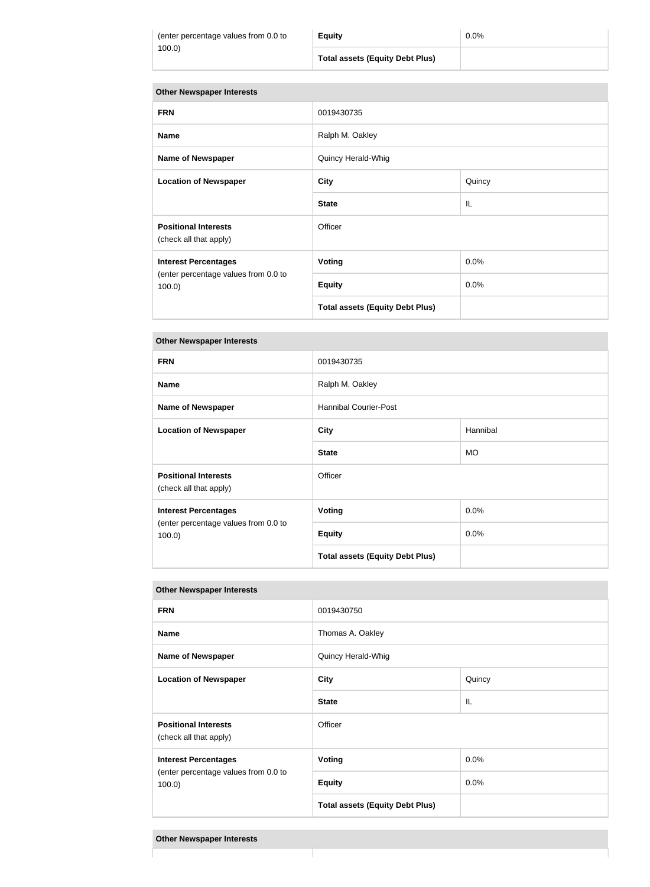| (enter percentage values from 0.0 to |  |
|--------------------------------------|--|
| 100.0)                               |  |

#### **Other Newspaper Interests**

| <b>FRN</b>                                            | 0019430735                             |         |
|-------------------------------------------------------|----------------------------------------|---------|
| <b>Name</b>                                           | Ralph M. Oakley                        |         |
| <b>Name of Newspaper</b>                              | Quincy Herald-Whig                     |         |
| <b>Location of Newspaper</b>                          | <b>City</b>                            | Quincy  |
|                                                       | <b>State</b>                           | IL      |
| <b>Positional Interests</b><br>(check all that apply) | Officer                                |         |
| <b>Interest Percentages</b>                           | Voting                                 | $0.0\%$ |
| (enter percentage values from 0.0 to<br>$100.0$ )     | <b>Equity</b>                          | 0.0%    |
|                                                       | <b>Total assets (Equity Debt Plus)</b> |         |

### **Other Newspaper Interests**

| <b>FRN</b>                                            | 0019430735                             |           |
|-------------------------------------------------------|----------------------------------------|-----------|
| <b>Name</b>                                           | Ralph M. Oakley                        |           |
| <b>Name of Newspaper</b>                              | <b>Hannibal Courier-Post</b>           |           |
| <b>Location of Newspaper</b>                          | <b>City</b>                            | Hannibal  |
|                                                       | <b>State</b>                           | <b>MO</b> |
| <b>Positional Interests</b><br>(check all that apply) | Officer                                |           |
| <b>Interest Percentages</b>                           | <b>Voting</b>                          | 0.0%      |
| (enter percentage values from 0.0 to<br>100.0         | <b>Equity</b>                          | 0.0%      |
|                                                       | <b>Total assets (Equity Debt Plus)</b> |           |

# **FRN** 0019430750 **Name Name** Thomas A. Oakley **Name of Newspaper Newspaper** Quincy Herald-Whig **Location of Newspaper City City Cullection Cullection Cullection Cullection Cullection Cullection Cullection Cullection Cullection Cullection Cullection Cullection Cullection Cullection C State** IL **IL Positional Interests** (check all that apply) **Officer Interest Percentages** (enter percentage values from 0.0 to 100.0) **Voting** 0.0% **Equity** 0.0% **Total assets (Equity Debt Plus)**

### **Other Newspaper Interests**

**Other Newspaper Interests**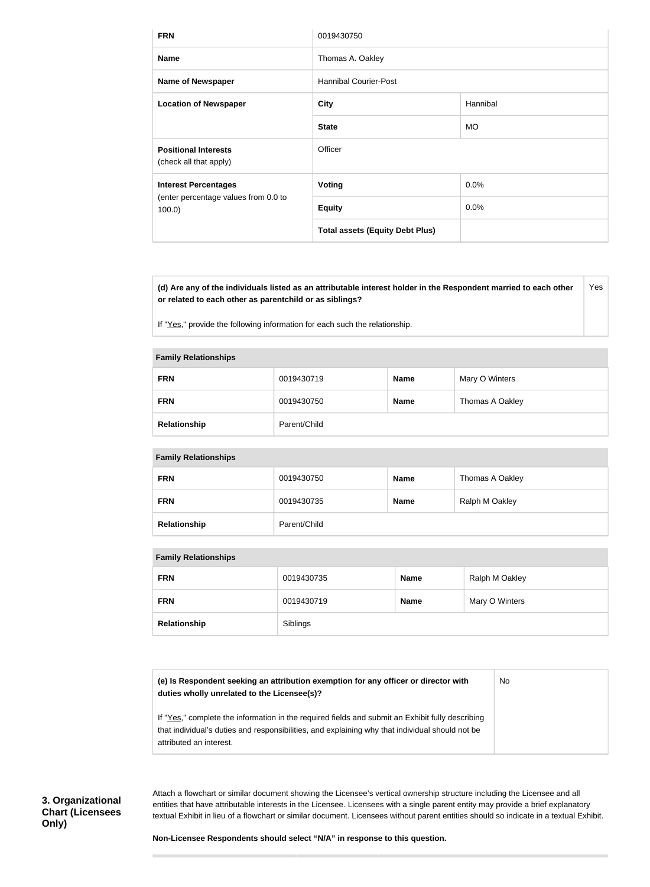| <b>FRN</b>                                            | 0019430750                             |           |
|-------------------------------------------------------|----------------------------------------|-----------|
| <b>Name</b>                                           | Thomas A. Oakley                       |           |
| <b>Name of Newspaper</b>                              | <b>Hannibal Courier-Post</b>           |           |
| <b>Location of Newspaper</b>                          | <b>City</b>                            | Hannibal  |
|                                                       | <b>State</b>                           | <b>MO</b> |
| <b>Positional Interests</b><br>(check all that apply) | Officer                                |           |
| <b>Interest Percentages</b>                           | Voting                                 | $0.0\%$   |
| (enter percentage values from 0.0 to<br>$100.0$ )     | <b>Equity</b>                          | $0.0\%$   |
|                                                       | <b>Total assets (Equity Debt Plus)</b> |           |

**(d) Are any of the individuals listed as an attributable interest holder in the Respondent married to each other or related to each other as parentchild or as siblings?** Yes

If "Yes," provide the following information for each such the relationship.

#### **Family Relationships**

| <b>FRN</b>   | 0019430719   | <b>Name</b> | Mary O Winters  |
|--------------|--------------|-------------|-----------------|
| <b>FRN</b>   | 0019430750   | <b>Name</b> | Thomas A Oakley |
| Relationship | Parent/Child |             |                 |

### **Family Relationships**

| <b>FRN</b>   | 0019430750   | <b>Name</b> | Thomas A Oakley |
|--------------|--------------|-------------|-----------------|
| <b>FRN</b>   | 0019430735   | <b>Name</b> | Ralph M Oakley  |
| Relationship | Parent/Child |             |                 |

### **Family Relationships**

| <b>FRN</b>   | 0019430735 | <b>Name</b> | Ralph M Oakley |
|--------------|------------|-------------|----------------|
| <b>FRN</b>   | 0019430719 | <b>Name</b> | Mary O Winters |
| Relationship | Siblings   |             |                |

| (e) Is Respondent seeking an attribution exemption for any officer or director with<br>duties wholly unrelated to the Licensee(s)?                                                                                             | No. |
|--------------------------------------------------------------------------------------------------------------------------------------------------------------------------------------------------------------------------------|-----|
| If "Yes," complete the information in the required fields and submit an Exhibit fully describing<br>that individual's duties and responsibilities, and explaining why that individual should not be<br>attributed an interest. |     |

**3. Organizational Chart (Licensees Only)**

Attach a flowchart or similar document showing the Licensee's vertical ownership structure including the Licensee and all entities that have attributable interests in the Licensee. Licensees with a single parent entity may provide a brief explanatory textual Exhibit in lieu of a flowchart or similar document. Licensees without parent entities should so indicate in a textual Exhibit.

**Non-Licensee Respondents should select "N/A" in response to this question.**